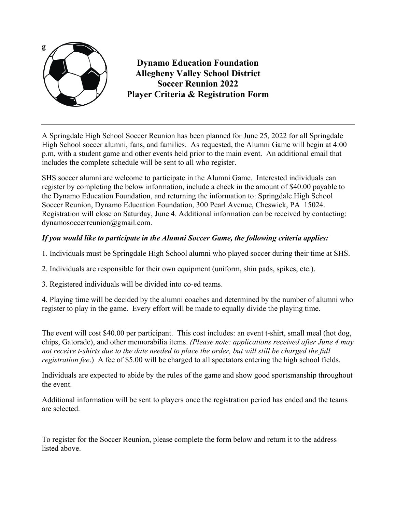

**Dynamo Education Foundation Allegheny Valley School District Soccer Reunion 2022 Player Criteria & Registration Form**

A Springdale High School Soccer Reunion has been planned for June 25, 2022 for all Springdale High School soccer alumni, fans, and families. As requested, the Alumni Game will begin at 4:00 p.m, with a student game and other events held prior to the main event. An additional email that includes the complete schedule will be sent to all who register.

SHS soccer alumni are welcome to participate in the Alumni Game. Interested individuals can register by completing the below information, include a check in the amount of \$40.00 payable to the Dynamo Education Foundation, and returning the information to: Springdale High School Soccer Reunion, Dynamo Education Foundation, 300 Pearl Avenue, Cheswick, PA 15024. Registration will close on Saturday, June 4. Additional information can be received by contacting: dynamosoccerreunion@gmail.com.

## *If you would like to participate in the Alumni Soccer Game, the following criteria applies:*

1. Individuals must be Springdale High School alumni who played soccer during their time at SHS.

2. Individuals are responsible for their own equipment (uniform, shin pads, spikes, etc.).

3. Registered individuals will be divided into co-ed teams.

4. Playing time will be decided by the alumni coaches and determined by the number of alumni who register to play in the game. Every effort will be made to equally divide the playing time.

The event will cost \$40.00 per participant. This cost includes: an event t-shirt, small meal (hot dog, chips, Gatorade), and other memorabilia items. *(Please note: applications received after June 4 may not receive t-shirts due to the date needed to place the order, but will still be charged the full registration fee*.) A fee of \$5.00 will be charged to all spectators entering the high school fields.

Individuals are expected to abide by the rules of the game and show good sportsmanship throughout the event.

Additional information will be sent to players once the registration period has ended and the teams are selected.

To register for the Soccer Reunion, please complete the form below and return it to the address listed above.